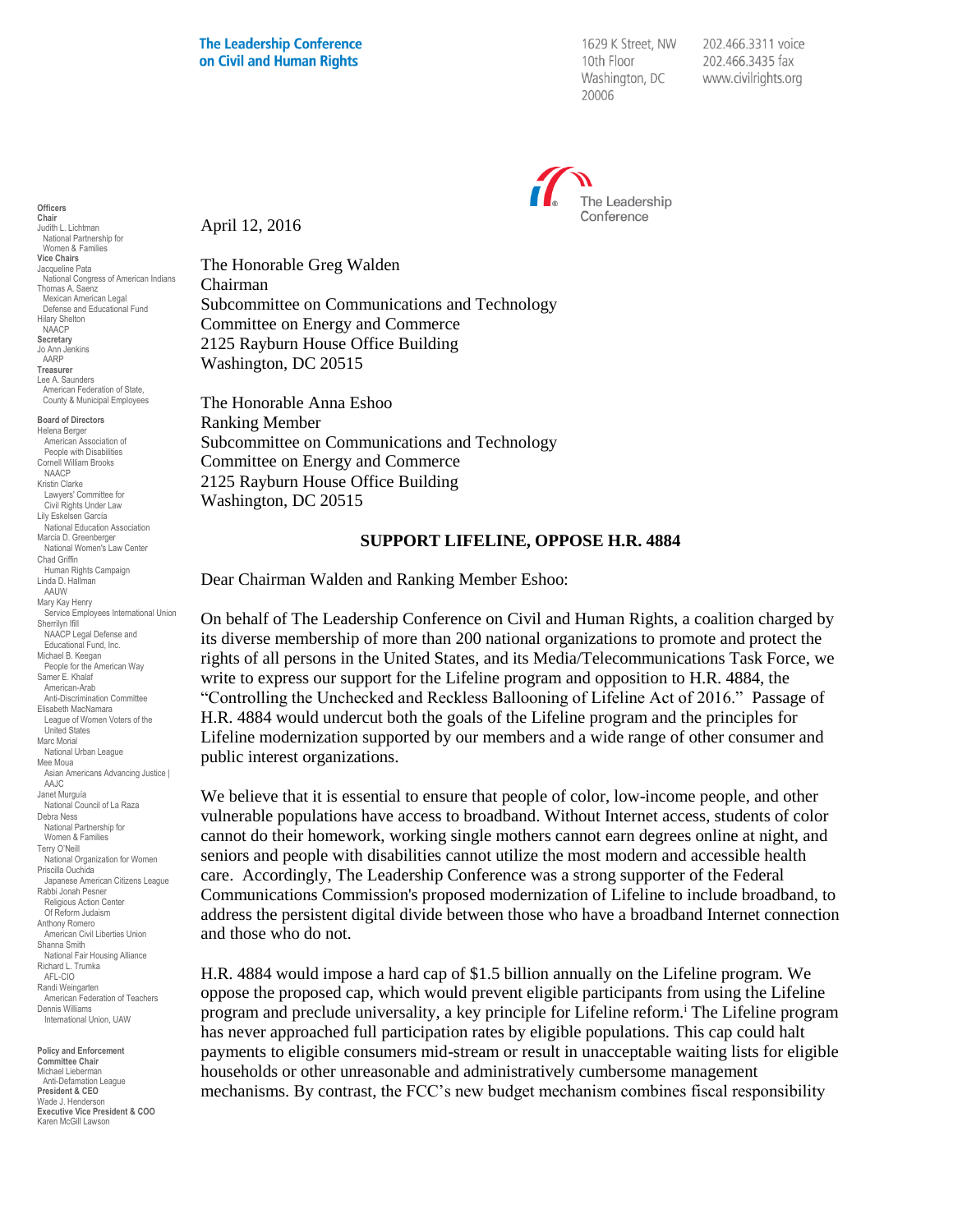1629 K Street, NW 10th Floor Washington, DC 20006

202.466.3311 voice 202.466.3435 fax www.civilrights.org



April 12, 2016

The Honorable Greg Walden Chairman Subcommittee on Communications and Technology Committee on Energy and Commerce 2125 Rayburn House Office Building Washington, DC 20515

The Honorable Anna Eshoo Ranking Member Subcommittee on Communications and Technology Committee on Energy and Commerce 2125 Rayburn House Office Building Washington, DC 20515

## **SUPPORT LIFELINE, OPPOSE H.R. 4884**

Dear Chairman Walden and Ranking Member Eshoo:

On behalf of The Leadership Conference on Civil and Human Rights, a coalition charged by its diverse membership of more than 200 national organizations to promote and protect the rights of all persons in the United States, and its Media/Telecommunications Task Force, we write to express our support for the Lifeline program and opposition to H.R. 4884, the "Controlling the Unchecked and Reckless Ballooning of Lifeline Act of 2016." Passage of H.R. 4884 would undercut both the goals of the Lifeline program and the principles for Lifeline modernization supported by our members and a wide range of other consumer and public interest organizations.

We believe that it is essential to ensure that people of color, low-income people, and other vulnerable populations have access to broadband. Without Internet access, students of color cannot do their homework, working single mothers cannot earn degrees online at night, and seniors and people with disabilities cannot utilize the most modern and accessible health care. Accordingly, The Leadership Conference was a strong supporter of the Federal Communications Commission's proposed modernization of Lifeline to include broadband, to address the persistent digital divide between those who have a broadband Internet connection and those who do not.

H.R. 4884 would impose a hard cap of \$1.5 billion annually on the Lifeline program. We oppose the proposed cap, which would prevent eligible participants from using the Lifeline program and preclude universality, a key principle for Lifeline reform.<sup>i</sup> The Lifeline program has never approached full participation rates by eligible populations. This cap could halt payments to eligible consumers mid-stream or result in unacceptable waiting lists for eligible households or other unreasonable and administratively cumbersome management mechanisms. By contrast, the FCC's new budget mechanism combines fiscal responsibility

**Chair** Judith L. Lichtman National Partnership for Women & Families **Vice Chairs** Jacqueline Pata National Congress of American Indians Thomas A. Saenz Mexican American Legal Defense and Educational Fund Hilary Shelton NAACP **Secretary** Jo Ann Jenkins AARP **Treasurer** Lee A. Saunders American Federation of State, County & Municipal Employees **Board of Directors** Helena Berger American Association of People with Disabilities Cornell William Brooks NAACP Kristin Clarke Lawyers' Committee for Civil Rights Under Law Lily Eskelsen García National Education Association Marcia D. Greenberger National Women's Law Center Chad Griffin Human Rights Campaign Linda D. Hallman AAUW Mary Kay Henry Service Employees International Union Sherrilyn Ifill NAACP Legal Defense and Educational Fund, Inc. Michael B. Keegan People for the American Way Samer E. Khalaf American-Arab Anti-Discrimination Committee Elisabeth MacNamara League of Women Voters of the United States Marc Morial National Urban League Mee Moua Asian Americans Advancing Justice | AAJC Janet Murguía National Council of La Raza Debra Ness National Partnership for Women & Families Terry O'Neill National Organization for Women Priscilla Ouchida Japanese American Citizens League Rabbi Jonah Pesner Religious Action Center Of Reform Judaism Anthony Romero American Civil Liberties Union Shanna Smith National Fair Housing Alliance Richard L. Trumka AFL-CIO Randi Weingarten American Federation of Teachers Dennis Williams International Union, UAW

**Officers**

**Policy and Enforcement Committee Chair** Michael Lieberman Anti-Defamation League **President & CEO** Wade J. Henderson **Executive Vice President & COO** Karen McGill Lawson